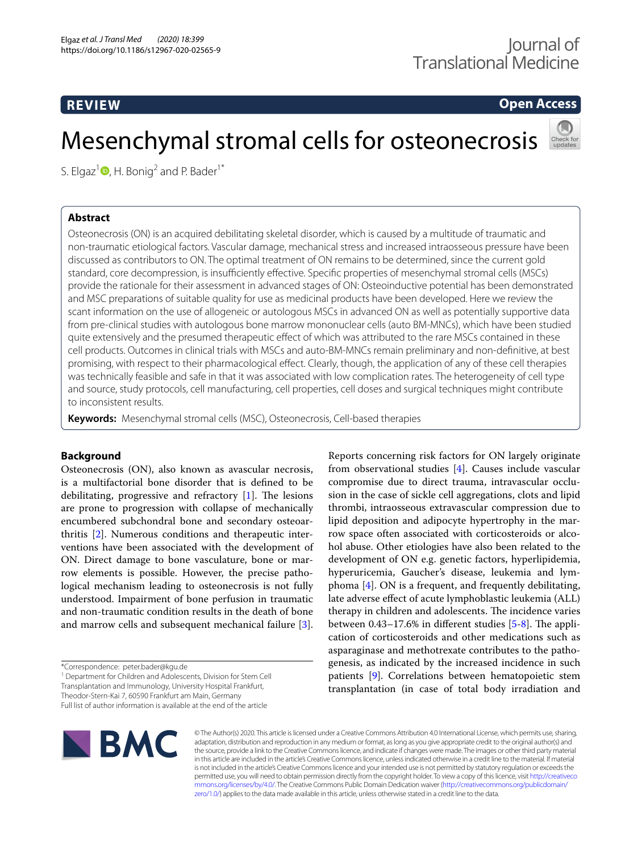# **REVIEW**

**Open Access**

# Mesenchymal stromal cells for osteonecrosis



S. Elgaz<sup>[1](http://orcid.org/0000-0002-9118-1163)</sup><sup>®</sup>, H. Bonig<sup>2</sup> and P. Bader<sup>1\*</sup>

# **Abstract**

Osteonecrosis (ON) is an acquired debilitating skeletal disorder, which is caused by a multitude of traumatic and non-traumatic etiological factors. Vascular damage, mechanical stress and increased intraosseous pressure have been discussed as contributors to ON. The optimal treatment of ON remains to be determined, since the current gold standard, core decompression, is insufficiently effective. Specific properties of mesenchymal stromal cells (MSCs) provide the rationale for their assessment in advanced stages of ON: Osteoinductive potential has been demonstrated and MSC preparations of suitable quality for use as medicinal products have been developed. Here we review the scant information on the use of allogeneic or autologous MSCs in advanced ON as well as potentially supportive data from pre-clinical studies with autologous bone marrow mononuclear cells (auto BM-MNCs), which have been studied quite extensively and the presumed therapeutic effect of which was attributed to the rare MSCs contained in these cell products. Outcomes in clinical trials with MSCs and auto-BM-MNCs remain preliminary and non-defnitive, at best promising, with respect to their pharmacological efect. Clearly, though, the application of any of these cell therapies was technically feasible and safe in that it was associated with low complication rates. The heterogeneity of cell type and source, study protocols, cell manufacturing, cell properties, cell doses and surgical techniques might contribute to inconsistent results.

**Keywords:** Mesenchymal stromal cells (MSC), Osteonecrosis, Cell-based therapies

# **Background**

Osteonecrosis (ON), also known as avascular necrosis, is a multifactorial bone disorder that is defned to be debilitating, progressive and refractory  $[1]$  $[1]$ . The lesions are prone to progression with collapse of mechanically encumbered subchondral bone and secondary osteoarthritis [[2\]](#page-7-1). Numerous conditions and therapeutic interventions have been associated with the development of ON. Direct damage to bone vasculature, bone or marrow elements is possible. However, the precise pathological mechanism leading to osteonecrosis is not fully understood. Impairment of bone perfusion in traumatic and non-traumatic condition results in the death of bone and marrow cells and subsequent mechanical failure [\[3](#page-7-2)].

\*Correspondence: peter.bader@kgu.de

<sup>1</sup> Department for Children and Adolescents, Division for Stem Cell Transplantation and Immunology, University Hospital Frankfurt, Theodor-Stern-Kai 7, 60590 Frankfurt am Main, Germany

Full list of author information is available at the end of the article

**BMC** 

Reports concerning risk factors for ON largely originate from observational studies [[4\]](#page-7-3). Causes include vascular compromise due to direct trauma, intravascular occlusion in the case of sickle cell aggregations, clots and lipid thrombi, intraosseous extravascular compression due to lipid deposition and adipocyte hypertrophy in the marrow space often associated with corticosteroids or alcohol abuse. Other etiologies have also been related to the development of ON e.g. genetic factors, hyperlipidemia, hyperuricemia, Gaucher's disease, leukemia and lymphoma [\[4](#page-7-3)]. ON is a frequent, and frequently debilitating, late adverse efect of acute lymphoblastic leukemia (ALL) therapy in children and adolescents. The incidence varies between  $0.43-17.6\%$  in different studies  $[5-8]$  $[5-8]$  $[5-8]$  $[5-8]$ . The application of corticosteroids and other medications such as asparaginase and methotrexate contributes to the pathogenesis, as indicated by the increased incidence in such patients [\[9](#page-7-6)]. Correlations between hematopoietic stem transplantation (in case of total body irradiation and

© The Author(s) 2020. This article is licensed under a Creative Commons Attribution 4.0 International License, which permits use, sharing, adaptation, distribution and reproduction in any medium or format, as long as you give appropriate credit to the original author(s) and the source, provide a link to the Creative Commons licence, and indicate if changes were made. The images or other third party material in this article are included in the article's Creative Commons licence, unless indicated otherwise in a credit line to the material. If material is not included in the article's Creative Commons licence and your intended use is not permitted by statutory regulation or exceeds the permitted use, you will need to obtain permission directly from the copyright holder. To view a copy of this licence, visit [http://creativeco](http://creativecommons.org/licenses/by/4.0/) [mmons.org/licenses/by/4.0/.](http://creativecommons.org/licenses/by/4.0/) The Creative Commons Public Domain Dedication waiver ([http://creativecommons.org/publicdomain/](http://creativecommons.org/publicdomain/zero/1.0/) [zero/1.0/\)](http://creativecommons.org/publicdomain/zero/1.0/) applies to the data made available in this article, unless otherwise stated in a credit line to the data.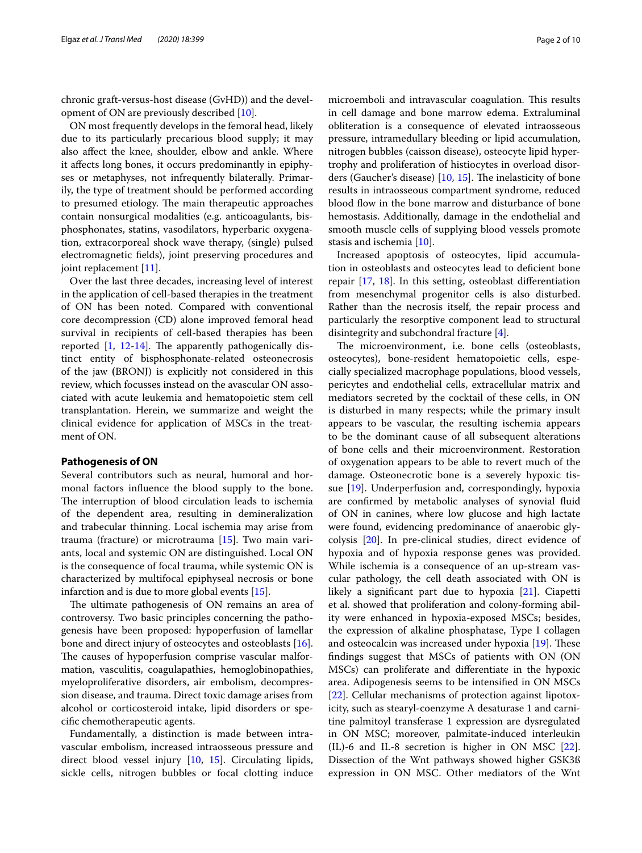chronic graft-versus-host disease (GvHD)) and the development of ON are previously described [\[10](#page-7-7)].

ON most frequently develops in the femoral head, likely due to its particularly precarious blood supply; it may also afect the knee, shoulder, elbow and ankle. Where it afects long bones, it occurs predominantly in epiphyses or metaphyses, not infrequently bilaterally. Primarily, the type of treatment should be performed according to presumed etiology. The main therapeutic approaches contain nonsurgical modalities (e.g. anticoagulants, bisphosphonates, statins, vasodilators, hyperbaric oxygenation, extracorporeal shock wave therapy, (single) pulsed electromagnetic felds), joint preserving procedures and joint replacement [\[11\]](#page-7-8).

Over the last three decades, increasing level of interest in the application of cell-based therapies in the treatment of ON has been noted. Compared with conventional core decompression (CD) alone improved femoral head survival in recipients of cell-based therapies has been reported  $[1, 12-14]$  $[1, 12-14]$  $[1, 12-14]$  $[1, 12-14]$  $[1, 12-14]$  $[1, 12-14]$ . The apparently pathogenically distinct entity of bisphosphonate-related osteonecrosis of the jaw **(**BRONJ) is explicitly not considered in this review, which focusses instead on the avascular ON associated with acute leukemia and hematopoietic stem cell transplantation. Herein, we summarize and weight the clinical evidence for application of MSCs in the treatment of ON.

## **Pathogenesis of ON**

Several contributors such as neural, humoral and hormonal factors infuence the blood supply to the bone. The interruption of blood circulation leads to ischemia of the dependent area, resulting in demineralization and trabecular thinning. Local ischemia may arise from trauma (fracture) or microtrauma [[15\]](#page-7-11). Two main variants, local and systemic ON are distinguished. Local ON is the consequence of focal trauma, while systemic ON is characterized by multifocal epiphyseal necrosis or bone infarction and is due to more global events [\[15\]](#page-7-11).

The ultimate pathogenesis of ON remains an area of controversy. Two basic principles concerning the pathogenesis have been proposed: hypoperfusion of lamellar bone and direct injury of osteocytes and osteoblasts [\[16](#page-8-0)]. The causes of hypoperfusion comprise vascular malformation, vasculitis, coagulapathies, hemoglobinopathies, myeloproliferative disorders, air embolism, decompression disease, and trauma. Direct toxic damage arises from alcohol or corticosteroid intake, lipid disorders or specifc chemotherapeutic agents.

Fundamentally, a distinction is made between intravascular embolism, increased intraosseous pressure and direct blood vessel injury [[10,](#page-7-7) [15\]](#page-7-11). Circulating lipids, sickle cells, nitrogen bubbles or focal clotting induce microemboli and intravascular coagulation. This results in cell damage and bone marrow edema. Extraluminal obliteration is a consequence of elevated intraosseous pressure, intramedullary bleeding or lipid accumulation, nitrogen bubbles (caisson disease), osteocyte lipid hypertrophy and proliferation of histiocytes in overload disorders (Gaucher's disease)  $[10, 15]$  $[10, 15]$  $[10, 15]$  $[10, 15]$  $[10, 15]$ . The inelasticity of bone results in intraosseous compartment syndrome, reduced blood fow in the bone marrow and disturbance of bone hemostasis. Additionally, damage in the endothelial and smooth muscle cells of supplying blood vessels promote stasis and ischemia [\[10\]](#page-7-7).

Increased apoptosis of osteocytes, lipid accumulation in osteoblasts and osteocytes lead to defcient bone repair [[17,](#page-8-1) [18](#page-8-2)]. In this setting, osteoblast diferentiation from mesenchymal progenitor cells is also disturbed. Rather than the necrosis itself, the repair process and particularly the resorptive component lead to structural disintegrity and subchondral fracture [\[4\]](#page-7-3).

The microenvironment, i.e. bone cells (osteoblasts, osteocytes), bone-resident hematopoietic cells, especially specialized macrophage populations, blood vessels, pericytes and endothelial cells, extracellular matrix and mediators secreted by the cocktail of these cells, in ON is disturbed in many respects; while the primary insult appears to be vascular, the resulting ischemia appears to be the dominant cause of all subsequent alterations of bone cells and their microenvironment. Restoration of oxygenation appears to be able to revert much of the damage. Osteonecrotic bone is a severely hypoxic tissue [\[19](#page-8-3)]. Underperfusion and, correspondingly, hypoxia are confrmed by metabolic analyses of synovial fuid of ON in canines, where low glucose and high lactate were found, evidencing predominance of anaerobic glycolysis [[20\]](#page-8-4). In pre-clinical studies, direct evidence of hypoxia and of hypoxia response genes was provided. While ischemia is a consequence of an up-stream vascular pathology, the cell death associated with ON is likely a signifcant part due to hypoxia [\[21](#page-8-5)]. Ciapetti et al. showed that proliferation and colony-forming ability were enhanced in hypoxia-exposed MSCs; besides, the expression of alkaline phosphatase, Type I collagen and osteocalcin was increased under hypoxia  $[19]$  $[19]$ . These fndings suggest that MSCs of patients with ON (ON MSCs) can proliferate and diferentiate in the hypoxic area. Adipogenesis seems to be intensifed in ON MSCs [[22\]](#page-8-6). Cellular mechanisms of protection against lipotoxicity, such as stearyl-coenzyme A desaturase 1 and carnitine palmitoyl transferase 1 expression are dysregulated in ON MSC; moreover, palmitate-induced interleukin (IL)-6 and IL-8 secretion is higher in ON MSC [\[22](#page-8-6)]. Dissection of the Wnt pathways showed higher GSK3ß expression in ON MSC. Other mediators of the Wnt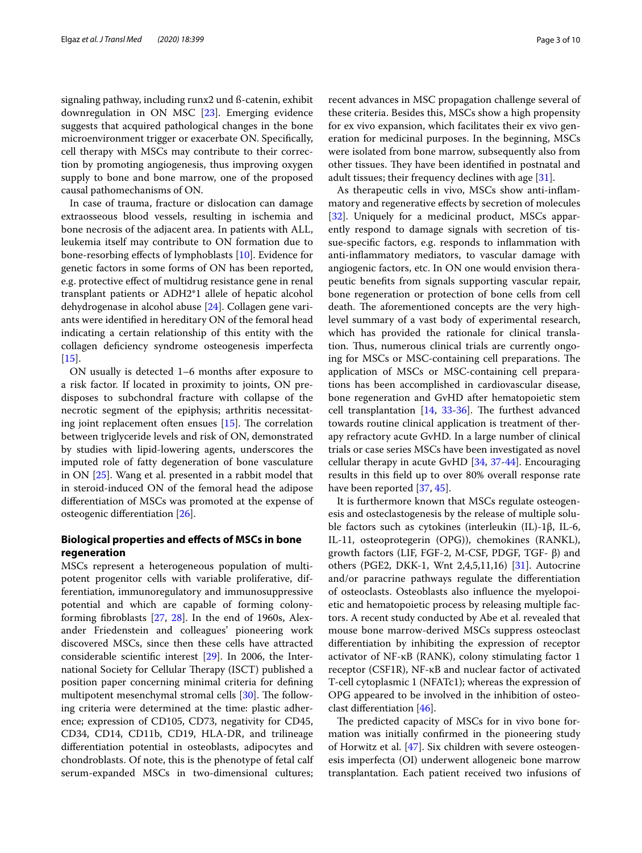signaling pathway, including runx2 und ß-catenin, exhibit downregulation in ON MSC [[23](#page-8-7)]. Emerging evidence suggests that acquired pathological changes in the bone microenvironment trigger or exacerbate ON. Specifcally, cell therapy with MSCs may contribute to their correction by promoting angiogenesis, thus improving oxygen supply to bone and bone marrow, one of the proposed causal pathomechanisms of ON.

In case of trauma, fracture or dislocation can damage extraosseous blood vessels, resulting in ischemia and bone necrosis of the adjacent area. In patients with ALL, leukemia itself may contribute to ON formation due to bone-resorbing efects of lymphoblasts [[10\]](#page-7-7). Evidence for genetic factors in some forms of ON has been reported, e.g. protective efect of multidrug resistance gene in renal transplant patients or ADH2\*1 allele of hepatic alcohol dehydrogenase in alcohol abuse [[24\]](#page-8-8). Collagen gene variants were identifed in hereditary ON of the femoral head indicating a certain relationship of this entity with the collagen defciency syndrome osteogenesis imperfecta [[15\]](#page-7-11).

ON usually is detected 1–6 months after exposure to a risk factor. If located in proximity to joints, ON predisposes to subchondral fracture with collapse of the necrotic segment of the epiphysis; arthritis necessitating joint replacement often ensues  $[15]$ . The correlation between triglyceride levels and risk of ON, demonstrated by studies with lipid-lowering agents, underscores the imputed role of fatty degeneration of bone vasculature in ON [\[25\]](#page-8-9). Wang et al. presented in a rabbit model that in steroid-induced ON of the femoral head the adipose diferentiation of MSCs was promoted at the expense of osteogenic diferentiation [\[26](#page-8-10)].

# **Biological properties and efects of MSCs in bone regeneration**

MSCs represent a heterogeneous population of multipotent progenitor cells with variable proliferative, differentiation, immunoregulatory and immunosuppressive potential and which are capable of forming colonyforming fbroblasts [\[27,](#page-8-11) [28\]](#page-8-12). In the end of 1960s, Alexander Friedenstein and colleagues' pioneering work discovered MSCs, since then these cells have attracted considerable scientifc interest [\[29](#page-8-13)]. In 2006, the International Society for Cellular Therapy (ISCT) published a position paper concerning minimal criteria for defning multipotent mesenchymal stromal cells  $[30]$  $[30]$ . The following criteria were determined at the time: plastic adherence; expression of CD105, CD73, negativity for CD45, CD34, CD14, CD11b, CD19, HLA-DR, and trilineage diferentiation potential in osteoblasts, adipocytes and chondroblasts. Of note, this is the phenotype of fetal calf serum-expanded MSCs in two-dimensional cultures; recent advances in MSC propagation challenge several of these criteria. Besides this, MSCs show a high propensity for ex vivo expansion, which facilitates their ex vivo generation for medicinal purposes. In the beginning, MSCs were isolated from bone marrow, subsequently also from other tissues. They have been identified in postnatal and adult tissues; their frequency declines with age [[31\]](#page-8-15).

As therapeutic cells in vivo, MSCs show anti-infammatory and regenerative efects by secretion of molecules [[32\]](#page-8-16). Uniquely for a medicinal product, MSCs apparently respond to damage signals with secretion of tissue-specifc factors, e.g. responds to infammation with anti-infammatory mediators, to vascular damage with angiogenic factors, etc. In ON one would envision therapeutic benefts from signals supporting vascular repair, bone regeneration or protection of bone cells from cell death. The aforementioned concepts are the very highlevel summary of a vast body of experimental research, which has provided the rationale for clinical translation. Thus, numerous clinical trials are currently ongoing for MSCs or MSC-containing cell preparations. The application of MSCs or MSC-containing cell preparations has been accomplished in cardiovascular disease, bone regeneration and GvHD after hematopoietic stem cell transplantation  $[14, 33-36]$  $[14, 33-36]$  $[14, 33-36]$  $[14, 33-36]$  $[14, 33-36]$ . The furthest advanced towards routine clinical application is treatment of therapy refractory acute GvHD. In a large number of clinical trials or case series MSCs have been investigated as novel cellular therapy in acute GvHD [\[34](#page-8-19), [37](#page-8-20)-[44\]](#page-8-21). Encouraging results in this feld up to over 80% overall response rate have been reported [\[37,](#page-8-20) [45](#page-8-22)].

It is furthermore known that MSCs regulate osteogenesis and osteclastogenesis by the release of multiple soluble factors such as cytokines (interleukin (IL)-1β, IL-6, IL-11, osteoprotegerin (OPG)), chemokines (RANKL), growth factors (LIF, FGF-2, M-CSF, PDGF, TGF- β) and others (PGE2, DKK-1, Wnt 2,4,5,11,16) [\[31\]](#page-8-15). Autocrine and/or paracrine pathways regulate the diferentiation of osteoclasts. Osteoblasts also infuence the myelopoietic and hematopoietic process by releasing multiple factors. A recent study conducted by Abe et al. revealed that mouse bone marrow-derived MSCs suppress osteoclast diferentiation by inhibiting the expression of receptor activator of NF-κB (RANK), colony stimulating factor 1 receptor (CSF1R), NF-κB and nuclear factor of activated T-cell cytoplasmic 1 (NFATc1); whereas the expression of OPG appeared to be involved in the inhibition of osteoclast diferentiation [\[46](#page-8-23)].

The predicted capacity of MSCs for in vivo bone formation was initially confrmed in the pioneering study of Horwitz et al. [\[47](#page-8-24)]. Six children with severe osteogenesis imperfecta (OI) underwent allogeneic bone marrow transplantation. Each patient received two infusions of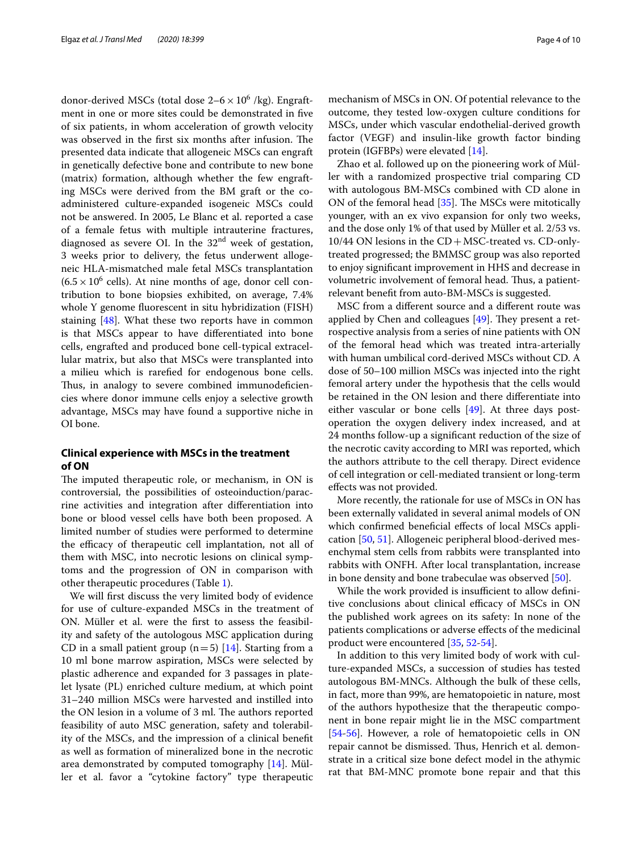donor-derived MSCs (total dose  $2-6 \times 10^6$  /kg). Engraftment in one or more sites could be demonstrated in fve of six patients, in whom acceleration of growth velocity was observed in the first six months after infusion. The presented data indicate that allogeneic MSCs can engraft in genetically defective bone and contribute to new bone (matrix) formation, although whether the few engrafting MSCs were derived from the BM graft or the coadministered culture-expanded isogeneic MSCs could not be answered. In 2005, Le Blanc et al. reported a case of a female fetus with multiple intrauterine fractures, diagnosed as severe OI. In the  $32<sup>nd</sup>$  week of gestation, 3 weeks prior to delivery, the fetus underwent allogeneic HLA-mismatched male fetal MSCs transplantation  $(6.5 \times 10^6 \text{ cells})$ . At nine months of age, donor cell contribution to bone biopsies exhibited, on average, 7.4% whole Y genome fuorescent in situ hybridization (FISH) staining [\[48\]](#page-8-25). What these two reports have in common is that MSCs appear to have diferentiated into bone cells, engrafted and produced bone cell-typical extracellular matrix, but also that MSCs were transplanted into a milieu which is rarefed for endogenous bone cells. Thus, in analogy to severe combined immunodeficiencies where donor immune cells enjoy a selective growth advantage, MSCs may have found a supportive niche in OI bone.

## **Clinical experience with MSCs in the treatment of ON**

The imputed therapeutic role, or mechanism, in ON is controversial, the possibilities of osteoinduction/paracrine activities and integration after diferentiation into bone or blood vessel cells have both been proposed. A limited number of studies were performed to determine the efficacy of therapeutic cell implantation, not all of them with MSC, into necrotic lesions on clinical symptoms and the progression of ON in comparison with other therapeutic procedures (Table [1\)](#page-4-0).

We will frst discuss the very limited body of evidence for use of culture-expanded MSCs in the treatment of ON. Müller et al. were the frst to assess the feasibility and safety of the autologous MSC application during CD in a small patient group  $(n=5)$  [\[14\]](#page-7-10). Starting from a 10 ml bone marrow aspiration, MSCs were selected by plastic adherence and expanded for 3 passages in platelet lysate (PL) enriched culture medium, at which point 31–240 million MSCs were harvested and instilled into the ON lesion in a volume of 3 ml. The authors reported feasibility of auto MSC generation, safety and tolerability of the MSCs, and the impression of a clinical beneft as well as formation of mineralized bone in the necrotic area demonstrated by computed tomography [\[14](#page-7-10)]. Müller et al. favor a "cytokine factory" type therapeutic mechanism of MSCs in ON. Of potential relevance to the outcome, they tested low-oxygen culture conditions for MSCs, under which vascular endothelial-derived growth factor (VEGF) and insulin-like growth factor binding protein (IGFBPs) were elevated [[14](#page-7-10)].

Zhao et al. followed up on the pioneering work of Müller with a randomized prospective trial comparing CD with autologous BM-MSCs combined with CD alone in ON of the femoral head  $[35]$ . The MSCs were mitotically younger, with an ex vivo expansion for only two weeks, and the dose only 1% of that used by Müller et al. 2/53 vs.  $10/44$  ON lesions in the CD + MSC-treated vs. CD-onlytreated progressed; the BMMSC group was also reported to enjoy signifcant improvement in HHS and decrease in volumetric involvement of femoral head. Thus, a patientrelevant beneft from auto-BM-MSCs is suggested.

MSC from a diferent source and a diferent route was applied by Chen and colleagues  $[49]$  $[49]$ . They present a retrospective analysis from a series of nine patients with ON of the femoral head which was treated intra-arterially with human umbilical cord-derived MSCs without CD. A dose of 50–100 million MSCs was injected into the right femoral artery under the hypothesis that the cells would be retained in the ON lesion and there diferentiate into either vascular or bone cells [\[49\]](#page-8-27). At three days postoperation the oxygen delivery index increased, and at 24 months follow-up a signifcant reduction of the size of the necrotic cavity according to MRI was reported, which the authors attribute to the cell therapy. Direct evidence of cell integration or cell-mediated transient or long-term efects was not provided.

More recently, the rationale for use of MSCs in ON has been externally validated in several animal models of ON which confirmed beneficial effects of local MSCs application [[50,](#page-8-28) [51\]](#page-8-29). Allogeneic peripheral blood-derived mesenchymal stem cells from rabbits were transplanted into rabbits with ONFH. After local transplantation, increase in bone density and bone trabeculae was observed [[50\]](#page-8-28).

While the work provided is insufficient to allow definitive conclusions about clinical efficacy of MSCs in ON the published work agrees on its safety: In none of the patients complications or adverse efects of the medicinal product were encountered [\[35](#page-8-26), [52](#page-8-30)[-54\]](#page-8-31).

In addition to this very limited body of work with culture-expanded MSCs, a succession of studies has tested autologous BM-MNCs. Although the bulk of these cells, in fact, more than 99%, are hematopoietic in nature, most of the authors hypothesize that the therapeutic component in bone repair might lie in the MSC compartment [[54](#page-8-31)[-56](#page-9-0)]. However, a role of hematopoietic cells in ON repair cannot be dismissed. Thus, Henrich et al. demonstrate in a critical size bone defect model in the athymic rat that BM-MNC promote bone repair and that this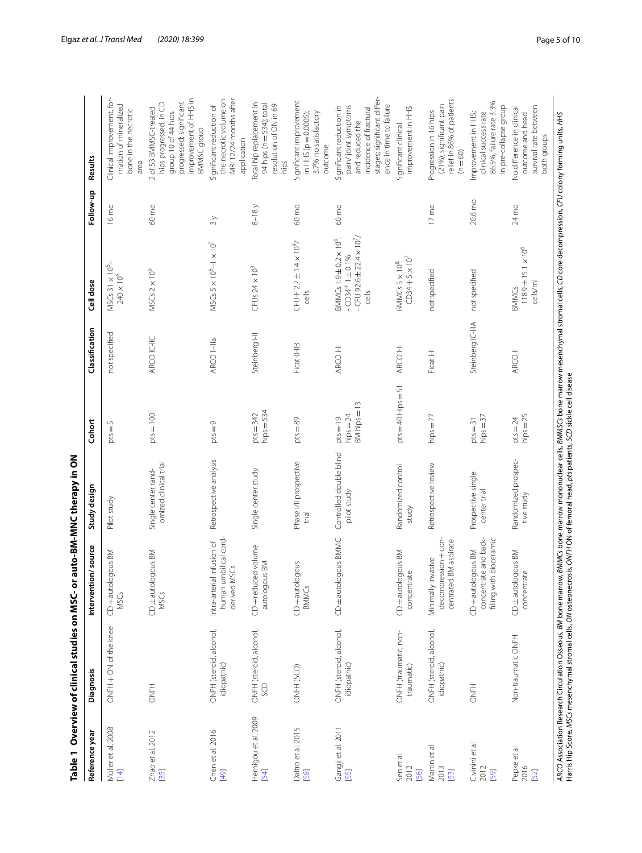<span id="page-4-0"></span>

|                                |                                        | Table 1   Overview of clinical studies on MSC- or auto-BM-MNC therapy in ON                                                                                                                                                                                                                                            |                                              |                                           |                           |                                                                                                                      |                 |                                                                                                                                                        |
|--------------------------------|----------------------------------------|------------------------------------------------------------------------------------------------------------------------------------------------------------------------------------------------------------------------------------------------------------------------------------------------------------------------|----------------------------------------------|-------------------------------------------|---------------------------|----------------------------------------------------------------------------------------------------------------------|-----------------|--------------------------------------------------------------------------------------------------------------------------------------------------------|
| Reference year                 | <b>Diagnosis</b>                       | Intervention/source                                                                                                                                                                                                                                                                                                    | Study design                                 | Cohort                                    | Classification            | Cell dose                                                                                                            | Follow-up       | Results                                                                                                                                                |
| Müller et al. 2008<br>$[14]$   | ONFH+ON of the knee                    | CD + autologous BM<br><b>MSCs</b>                                                                                                                                                                                                                                                                                      | Pilot study                                  | LN<br>$pts =$                             | not specified             | $MSCs$ 31 $\times$ 10 <sup>6</sup><br>$240\times10^6$                                                                | $16 \text{ mo}$ | Clinical improvement, for-<br>mation of mineralized<br>bone in the necrotic<br>area                                                                    |
| Zhao et al. 2012<br>[35]       | <b>ONFH</b>                            | CD ± autologous BM<br><b>MSCs</b>                                                                                                                                                                                                                                                                                      | omized clinical trial<br>Single center rand- | $pts = 100$                               | ARCO IC-IIC               | $MSCs$ $2 \times 10^6$                                                                                               | 60 mo           | improvement of HHS in<br>progressed; significant<br>hips progressed; in CD<br>2 of 53 BMMSC-treated<br>group 10 of 44 hips<br>BMMSC group              |
| Chen et al. 2016<br>[49]       | ONFH (steroid, alcohol,<br>idiopathic) | human umbilical cord-<br>Intra-arterial infusion of<br>derived MSCs                                                                                                                                                                                                                                                    | Retrospective analysis                       | $pts = 9$                                 | ARCO II-Illa              | $MSCs$ 5 $\times$ 10 <sup>6</sup> -1 $\times$ 10 <sup>7</sup>                                                        | $\frac{1}{2}$   | the necrotic volume on<br>MRI 12/24 months after<br>Significant reduction of<br>application                                                            |
| Hernigou et al. 2009<br>$[54]$ | ONFH (steroid, alcohol,<br>g           | CD + reduced volume<br>autologous BM                                                                                                                                                                                                                                                                                   | Single center study                          | hips $=$ 534<br>$pts = 342$               | Steinberg <sub>I-II</sub> | $CFDs 24 \times 10^3$                                                                                                | $8-18y$         | Total hip replacement in<br>94 hips (n = 534); total<br>resolution of ON in 69<br>hips                                                                 |
| Daltro et al. 2015<br>[58]     | ONFH (SCD)                             | CD + autologous<br><b>BMMCs</b>                                                                                                                                                                                                                                                                                        | Phase I/II prospective<br>trial              | $pts = 89$                                | Ficat 0-IIB               | CFU-F 2.7 ± 1.4 × 10 <sup>4</sup> /<br>cells                                                                         | 60 mo           | Significant improvement<br>3.7% no satisfactory<br>in HHS ( $p = 0.0005$ );<br>outcome                                                                 |
| Gangji et al. 2011<br>[55]     | ONFH (steroid, alcohol,<br>idiopathic) | CD ± autologous BMMC                                                                                                                                                                                                                                                                                                   | Controlled double blind<br>pilot study       | BM hips = 13<br>$hips = 24$<br>$pts = 19$ | ARCO <sub>I-II</sub>      | BMMCs 1.9 ± 0.2 × 10 <sup>9</sup> :<br>$-$ CFU 92.6 $\pm$ 22.4 $\times$ 10 <sup>7</sup> .<br>$-CD34+1+0.1%$<br>cells | 60 mo           | stages; significant differ-<br>ence in time to failure<br>pain/joint symptoms<br>Significant reduction in<br>incidence of fractural<br>and reduced the |
| Sen et al<br>2012<br>[56]      | ONFH (traumatic, non-<br>traumatic)    | CD ± autologous BM<br>concentrate                                                                                                                                                                                                                                                                                      | Randomized control<br>study                  | $pts = 40$ Hips $= 51$                    | ARCO I-II                 | $CD34 + 5 \times 10^7$<br>$BMMCS$ 5 $\times$ 10 <sup>8</sup> :                                                       |                 | improvement in HHS<br>Significant clinical                                                                                                             |
| Martin et al<br>2013<br>[53]   | ONFH (steroid, alcohol,<br>idiopathic) | decompression + con-<br><b>BM</b> aspirate<br>Minimally invasive<br>centrated                                                                                                                                                                                                                                          | Retrospective review                         | $hips = 77$                               | Ficat I-II                | not specified                                                                                                        | $17 \text{ mo}$ | relief in 86% of patients<br>(21%); significant pain<br>Progression in 16 hips<br>$(n = 60)$                                                           |
| Civinini et al<br>2012<br>[59] | <b>ONFH</b>                            | concentrate and back-<br>filling with bioceramic<br>CD + autologous BM                                                                                                                                                                                                                                                 | Prospective single<br>center trial           | $hips = 37$<br>$pts = 31$                 | Steinberg IC-IIIA         | not specified                                                                                                        | 20.6 mo         | 86.5%, failure rate 3.3%<br>in pre-collapse group<br>Improvement in HHS;<br>clinical success rate                                                      |
| Pepke et al<br>2016<br>[52]    | Non-traumatic ONFH                     | CD ± autologous BM<br>concentrate                                                                                                                                                                                                                                                                                      | Randomized prospec-<br>tive study            | $hips = 25$<br>$pts = 24$                 | ARCO II                   | $118.9 \pm 15.1 \times 10^{6}$<br>cells/ml<br><b>BMMCs</b>                                                           | 24 mo           | survival rate between<br>No difference in clinical<br>outcome and head<br>both groups                                                                  |
|                                |                                        | ARCO Association Research Circulation Osseous, BM bone marrow, BMMCs bone marrow memorary marrow mesenchymal stromal cells, CD core decompression, CFU colony forming units, HHS<br>Harris Hip Score. MSCs mesenchymal stromal cells. ON osteonecrosis. ONFH ON of femoral head. pts patients. SCD sickle cell disease |                                              |                                           |                           |                                                                                                                      |                 |                                                                                                                                                        |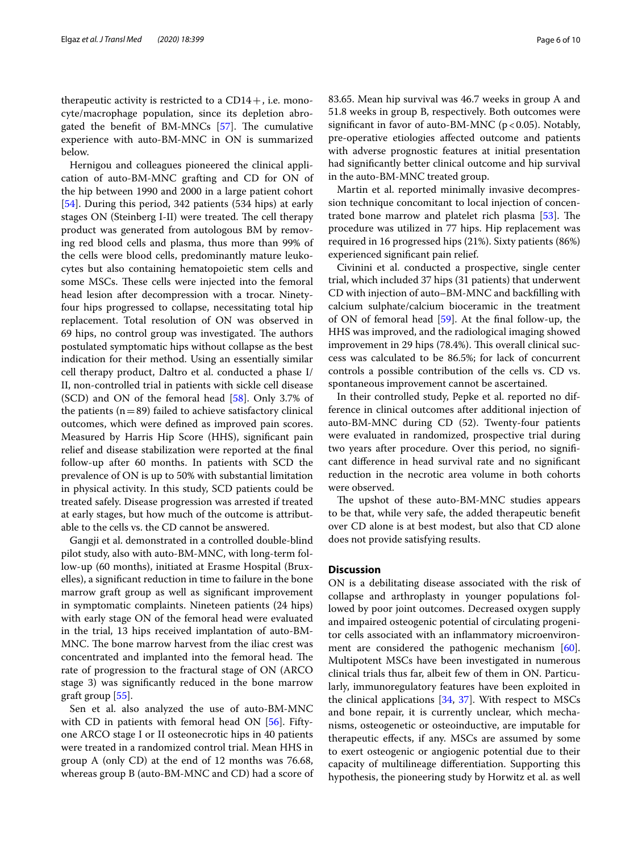therapeutic activity is restricted to a  $CD14+$ , i.e. monocyte/macrophage population, since its depletion abrogated the benefit of BM-MNCs  $[57]$ . The cumulative experience with auto-BM-MNC in ON is summarized below.

Hernigou and colleagues pioneered the clinical application of auto-BM-MNC grafting and CD for ON of the hip between 1990 and 2000 in a large patient cohort [[54\]](#page-8-31). During this period, 342 patients (534 hips) at early stages ON (Steinberg I-II) were treated. The cell therapy product was generated from autologous BM by removing red blood cells and plasma, thus more than 99% of the cells were blood cells, predominantly mature leukocytes but also containing hematopoietic stem cells and some MSCs. These cells were injected into the femoral head lesion after decompression with a trocar. Ninetyfour hips progressed to collapse, necessitating total hip replacement. Total resolution of ON was observed in 69 hips, no control group was investigated. The authors postulated symptomatic hips without collapse as the best indication for their method. Using an essentially similar cell therapy product, Daltro et al. conducted a phase I/ II, non-controlled trial in patients with sickle cell disease (SCD) and ON of the femoral head [\[58\]](#page-9-1). Only 3.7% of the patients  $(n=89)$  failed to achieve satisfactory clinical outcomes, which were defned as improved pain scores. Measured by Harris Hip Score (HHS), signifcant pain relief and disease stabilization were reported at the fnal follow-up after 60 months. In patients with SCD the prevalence of ON is up to 50% with substantial limitation in physical activity. In this study, SCD patients could be treated safely. Disease progression was arrested if treated at early stages, but how much of the outcome is attributable to the cells vs. the CD cannot be answered.

Gangji et al. demonstrated in a controlled double-blind pilot study, also with auto-BM-MNC, with long-term follow-up (60 months), initiated at Erasme Hospital (Bruxelles), a signifcant reduction in time to failure in the bone marrow graft group as well as signifcant improvement in symptomatic complaints. Nineteen patients (24 hips) with early stage ON of the femoral head were evaluated in the trial, 13 hips received implantation of auto-BM-MNC. The bone marrow harvest from the iliac crest was concentrated and implanted into the femoral head. The rate of progression to the fractural stage of ON (ARCO stage 3) was signifcantly reduced in the bone marrow graft group [\[55\]](#page-9-2).

Sen et al. also analyzed the use of auto-BM-MNC with CD in patients with femoral head ON [\[56](#page-9-0)]. Fiftyone ARCO stage I or II osteonecrotic hips in 40 patients were treated in a randomized control trial. Mean HHS in group A (only CD) at the end of 12 months was 76.68, whereas group B (auto-BM-MNC and CD) had a score of 83.65. Mean hip survival was 46.7 weeks in group A and 51.8 weeks in group B, respectively. Both outcomes were significant in favor of auto-BM-MNC ( $p < 0.05$ ). Notably, pre-operative etiologies afected outcome and patients with adverse prognostic features at initial presentation had signifcantly better clinical outcome and hip survival in the auto-BM-MNC treated group.

Martin et al. reported minimally invasive decompression technique concomitant to local injection of concentrated bone marrow and platelet rich plasma  $[53]$  $[53]$ . The procedure was utilized in 77 hips. Hip replacement was required in 16 progressed hips (21%). Sixty patients (86%) experienced signifcant pain relief.

Civinini et al. conducted a prospective, single center trial, which included 37 hips (31 patients) that underwent CD with injection of auto–BM-MNC and backflling with calcium sulphate/calcium bioceramic in the treatment of ON of femoral head [[59\]](#page-9-3). At the fnal follow-up, the HHS was improved, and the radiological imaging showed improvement in 29 hips (78.4%). This overall clinical success was calculated to be 86.5%; for lack of concurrent controls a possible contribution of the cells vs. CD vs. spontaneous improvement cannot be ascertained.

In their controlled study, Pepke et al. reported no difference in clinical outcomes after additional injection of auto-BM-MNC during CD (52). Twenty-four patients were evaluated in randomized, prospective trial during two years after procedure. Over this period, no signifcant diference in head survival rate and no signifcant reduction in the necrotic area volume in both cohorts were observed.

The upshot of these auto-BM-MNC studies appears to be that, while very safe, the added therapeutic beneft over CD alone is at best modest, but also that CD alone does not provide satisfying results.

# **Discussion**

ON is a debilitating disease associated with the risk of collapse and arthroplasty in younger populations followed by poor joint outcomes. Decreased oxygen supply and impaired osteogenic potential of circulating progenitor cells associated with an infammatory microenviron-ment are considered the pathogenic mechanism [\[60](#page-9-5)]. Multipotent MSCs have been investigated in numerous clinical trials thus far, albeit few of them in ON. Particularly, immunoregulatory features have been exploited in the clinical applications [[34,](#page-8-19) [37](#page-8-20)]. With respect to MSCs and bone repair, it is currently unclear, which mechanisms, osteogenetic or osteoinductive, are imputable for therapeutic efects, if any. MSCs are assumed by some to exert osteogenic or angiogenic potential due to their capacity of multilineage diferentiation. Supporting this hypothesis, the pioneering study by Horwitz et al. as well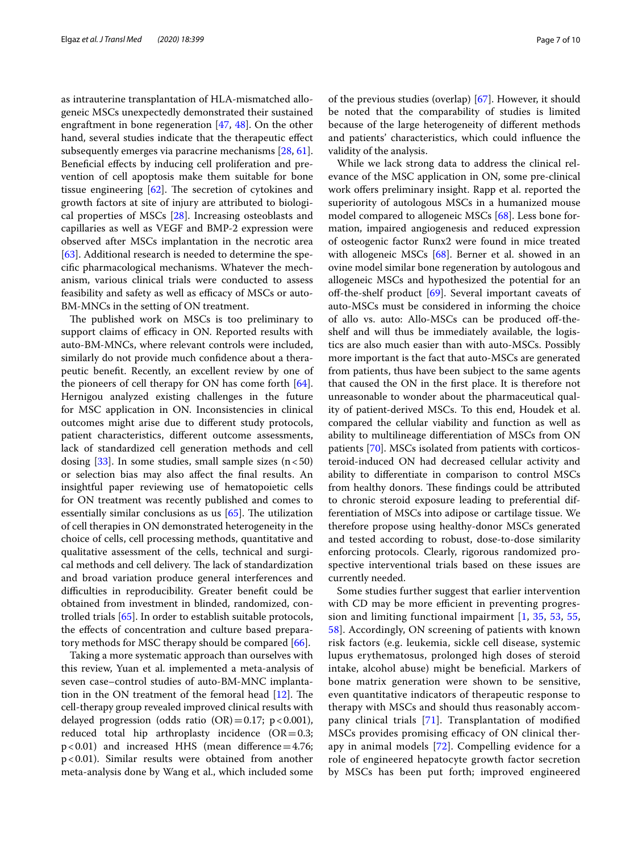as intrauterine transplantation of HLA-mismatched allogeneic MSCs unexpectedly demonstrated their sustained engraftment in bone regeneration [[47,](#page-8-24) [48\]](#page-8-25). On the other hand, several studies indicate that the therapeutic efect subsequently emerges via paracrine mechanisms [[28,](#page-8-12) [61](#page-9-6)]. Beneficial effects by inducing cell proliferation and prevention of cell apoptosis make them suitable for bone tissue engineering  $[62]$  $[62]$ . The secretion of cytokines and growth factors at site of injury are attributed to biological properties of MSCs [\[28\]](#page-8-12). Increasing osteoblasts and capillaries as well as VEGF and BMP-2 expression were observed after MSCs implantation in the necrotic area [[63\]](#page-9-8). Additional research is needed to determine the specifc pharmacological mechanisms. Whatever the mechanism, various clinical trials were conducted to assess feasibility and safety as well as efficacy of MSCs or auto-BM-MNCs in the setting of ON treatment.

The published work on MSCs is too preliminary to support claims of efficacy in ON. Reported results with auto-BM-MNCs, where relevant controls were included, similarly do not provide much confdence about a therapeutic beneft. Recently, an excellent review by one of the pioneers of cell therapy for ON has come forth [\[64](#page-9-9)]. Hernigou analyzed existing challenges in the future for MSC application in ON. Inconsistencies in clinical outcomes might arise due to diferent study protocols, patient characteristics, diferent outcome assessments, lack of standardized cell generation methods and cell dosing  $[33]$  $[33]$ . In some studies, small sample sizes  $(n < 50)$ or selection bias may also afect the fnal results. An insightful paper reviewing use of hematopoietic cells for ON treatment was recently published and comes to essentially similar conclusions as us  $[65]$  $[65]$  $[65]$ . The utilization of cell therapies in ON demonstrated heterogeneity in the choice of cells, cell processing methods, quantitative and qualitative assessment of the cells, technical and surgical methods and cell delivery. The lack of standardization and broad variation produce general interferences and difficulties in reproducibility. Greater benefit could be obtained from investment in blinded, randomized, controlled trials [[65](#page-9-10)]. In order to establish suitable protocols, the efects of concentration and culture based preparatory methods for MSC therapy should be compared [[66\]](#page-9-11).

Taking a more systematic approach than ourselves with this review, Yuan et al. implemented a meta-analysis of seven case–control studies of auto-BM-MNC implantation in the ON treatment of the femoral head  $[12]$  $[12]$ . The cell-therapy group revealed improved clinical results with delayed progression (odds ratio  $(OR) = 0.17$ ; p<0.001), reduced total hip arthroplasty incidence  $(OR=0.3;$  $p$ <0.01) and increased HHS (mean difference=4.76; p<0.01). Similar results were obtained from another meta-analysis done by Wang et al., which included some of the previous studies (overlap) [\[67\]](#page-9-12). However, it should be noted that the comparability of studies is limited because of the large heterogeneity of diferent methods and patients' characteristics, which could infuence the validity of the analysis.

While we lack strong data to address the clinical relevance of the MSC application in ON, some pre-clinical work offers preliminary insight. Rapp et al. reported the superiority of autologous MSCs in a humanized mouse model compared to allogeneic MSCs [\[68\]](#page-9-13). Less bone formation, impaired angiogenesis and reduced expression of osteogenic factor Runx2 were found in mice treated with allogeneic MSCs [\[68](#page-9-13)]. Berner et al. showed in an ovine model similar bone regeneration by autologous and allogeneic MSCs and hypothesized the potential for an off-the-shelf product [[69\]](#page-9-14). Several important caveats of auto-MSCs must be considered in informing the choice of allo vs. auto: Allo-MSCs can be produced off-theshelf and will thus be immediately available, the logistics are also much easier than with auto-MSCs. Possibly more important is the fact that auto-MSCs are generated from patients, thus have been subject to the same agents that caused the ON in the frst place. It is therefore not unreasonable to wonder about the pharmaceutical quality of patient-derived MSCs. To this end, Houdek et al. compared the cellular viability and function as well as ability to multilineage diferentiation of MSCs from ON patients [\[70](#page-9-15)]. MSCs isolated from patients with corticosteroid-induced ON had decreased cellular activity and ability to diferentiate in comparison to control MSCs from healthy donors. These findings could be attributed to chronic steroid exposure leading to preferential differentiation of MSCs into adipose or cartilage tissue. We therefore propose using healthy-donor MSCs generated and tested according to robust, dose-to-dose similarity enforcing protocols. Clearly, rigorous randomized prospective interventional trials based on these issues are currently needed.

Some studies further suggest that earlier intervention with CD may be more efficient in preventing progression and limiting functional impairment [[1,](#page-7-0) [35,](#page-8-26) [53,](#page-8-32) [55](#page-9-2), [58\]](#page-9-1). Accordingly, ON screening of patients with known risk factors (e.g. leukemia, sickle cell disease, systemic lupus erythematosus, prolonged high doses of steroid intake, alcohol abuse) might be benefcial. Markers of bone matrix generation were shown to be sensitive, even quantitative indicators of therapeutic response to therapy with MSCs and should thus reasonably accompany clinical trials [[71\]](#page-9-16). Transplantation of modifed MSCs provides promising efficacy of ON clinical therapy in animal models [[72](#page-9-17)]. Compelling evidence for a role of engineered hepatocyte growth factor secretion by MSCs has been put forth; improved engineered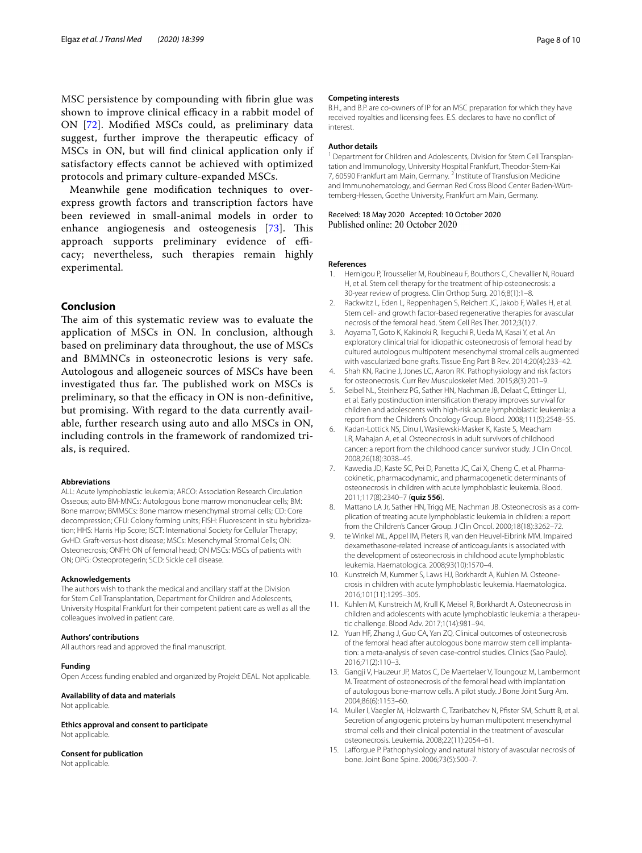MSC persistence by compounding with fbrin glue was shown to improve clinical efficacy in a rabbit model of ON [\[72](#page-9-17)]. Modifed MSCs could, as preliminary data suggest, further improve the therapeutic efficacy of MSCs in ON, but will fnd clinical application only if satisfactory efects cannot be achieved with optimized protocols and primary culture-expanded MSCs.

Meanwhile gene modifcation techniques to overexpress growth factors and transcription factors have been reviewed in small-animal models in order to enhance angiogenesis and osteogenesis [[73](#page-9-18)]. This approach supports preliminary evidence of efficacy; nevertheless, such therapies remain highly experimental.

## **Conclusion**

The aim of this systematic review was to evaluate the application of MSCs in ON. In conclusion, although based on preliminary data throughout, the use of MSCs and BMMNCs in osteonecrotic lesions is very safe. Autologous and allogeneic sources of MSCs have been investigated thus far. The published work on MSCs is preliminary, so that the efficacy in ON is non-definitive, but promising. With regard to the data currently available, further research using auto and allo MSCs in ON, including controls in the framework of randomized trials, is required.

#### **Abbreviations**

ALL: Acute lymphoblastic leukemia; ARCO: Association Research Circulation Osseous; auto BM-MNCs: Autologous bone marrow mononuclear cells; BM: Bone marrow; BMMSCs: Bone marrow mesenchymal stromal cells; CD: Core decompression; CFU: Colony forming units; FISH: Fluorescent in situ hybridization; HHS: Harris Hip Score; ISCT: International Society for Cellular Therapy; GvHD: Graft-versus-host disease; MSCs: Mesenchymal Stromal Cells; ON: Osteonecrosis; ONFH: ON of femoral head; ON MSCs: MSCs of patients with ON; OPG: Osteoprotegerin; SCD: Sickle cell disease.

#### **Acknowledgements**

The authors wish to thank the medical and ancillary staff at the Division for Stem Cell Transplantation, Department for Children and Adolescents, University Hospital Frankfurt for their competent patient care as well as all the colleagues involved in patient care.

#### **Authors' contributions**

All authors read and approved the fnal manuscript.

#### **Funding**

Open Access funding enabled and organized by Projekt DEAL. Not applicable.

# **Availability of data and materials**

Not applicable.

**Ethics approval and consent to participate** Not applicable.

## **Consent for publication**

Not applicable.

#### **Competing interests**

B.H., and B.P. are co-owners of IP for an MSC preparation for which they have received royalties and licensing fees. E.S. declares to have no confict of interest.

#### **Author details**

<sup>1</sup> Department for Children and Adolescents, Division for Stem Cell Transplantation and Immunology, University Hospital Frankfurt, Theodor-Stern-Kai 7, 60590 Frankfurt am Main, Germany.<sup>2</sup> Institute of Transfusion Medicine and Immunohematology, and German Red Cross Blood Center Baden-Württemberg-Hessen, Goethe University, Frankfurt am Main, Germany.

Received: 18 May 2020 Accepted: 10 October 2020<br>Published online: 20 October 2020

#### **References**

- <span id="page-7-0"></span>1. Hernigou P, Trousselier M, Roubineau F, Bouthors C, Chevallier N, Rouard H, et al. Stem cell therapy for the treatment of hip osteonecrosis: a 30-year review of progress. Clin Orthop Surg. 2016;8(1):1–8.
- <span id="page-7-1"></span>2. Rackwitz L, Eden L, Reppenhagen S, Reichert JC, Jakob F, Walles H, et al. Stem cell- and growth factor-based regenerative therapies for avascular necrosis of the femoral head. Stem Cell Res Ther. 2012;3(1):7.
- <span id="page-7-2"></span>3. Aoyama T, Goto K, Kakinoki R, Ikeguchi R, Ueda M, Kasai Y, et al. An exploratory clinical trial for idiopathic osteonecrosis of femoral head by cultured autologous multipotent mesenchymal stromal cells augmented with vascularized bone grafts. Tissue Eng Part B Rev. 2014;20(4):233–42.
- <span id="page-7-3"></span>4. Shah KN, Racine J, Jones LC, Aaron RK. Pathophysiology and risk factors for osteonecrosis. Curr Rev Musculoskelet Med. 2015;8(3):201–9.
- <span id="page-7-4"></span>5. Seibel NL, Steinherz PG, Sather HN, Nachman JB, Delaat C, Ettinger LJ, et al. Early postinduction intensifcation therapy improves survival for children and adolescents with high-risk acute lymphoblastic leukemia: a report from the Children's Oncology Group. Blood. 2008;111(5):2548–55.
- 6. Kadan-Lottick NS, Dinu I, Wasilewski-Masker K, Kaste S, Meacham LR, Mahajan A, et al. Osteonecrosis in adult survivors of childhood cancer: a report from the childhood cancer survivor study. J Clin Oncol. 2008;26(18):3038–45.
- 7. Kawedia JD, Kaste SC, Pei D, Panetta JC, Cai X, Cheng C, et al. Pharmacokinetic, pharmacodynamic, and pharmacogenetic determinants of osteonecrosis in children with acute lymphoblastic leukemia. Blood. 2011;117(8):2340–7 (**quiz 556**).
- <span id="page-7-5"></span>8. Mattano LA Jr, Sather HN, Trigg ME, Nachman JB. Osteonecrosis as a complication of treating acute lymphoblastic leukemia in children: a report from the Children's Cancer Group. J Clin Oncol. 2000;18(18):3262–72.
- <span id="page-7-6"></span>9. te Winkel ML, Appel IM, Pieters R, van den Heuvel-Eibrink MM. Impaired dexamethasone-related increase of anticoagulants is associated with the development of osteonecrosis in childhood acute lymphoblastic leukemia. Haematologica. 2008;93(10):1570–4.
- <span id="page-7-7"></span>10. Kunstreich M, Kummer S, Laws HJ, Borkhardt A, Kuhlen M. Osteonecrosis in children with acute lymphoblastic leukemia. Haematologica. 2016;101(11):1295–305.
- <span id="page-7-8"></span>11. Kuhlen M, Kunstreich M, Krull K, Meisel R, Borkhardt A. Osteonecrosis in children and adolescents with acute lymphoblastic leukemia: a therapeutic challenge. Blood Adv. 2017;1(14):981–94.
- <span id="page-7-9"></span>12. Yuan HF, Zhang J, Guo CA, Yan ZQ. Clinical outcomes of osteonecrosis of the femoral head after autologous bone marrow stem cell implantation: a meta-analysis of seven case-control studies. Clinics (Sao Paulo). 2016;71(2):110–3.
- 13. Gangji V, Hauzeur JP, Matos C, De Maertelaer V, Toungouz M, Lambermont M. Treatment of osteonecrosis of the femoral head with implantation of autologous bone-marrow cells. A pilot study. J Bone Joint Surg Am. 2004;86(6):1153–60.
- <span id="page-7-10"></span>14. Muller I, Vaegler M, Holzwarth C, Tzaribatchev N, Pfster SM, Schutt B, et al. Secretion of angiogenic proteins by human multipotent mesenchymal stromal cells and their clinical potential in the treatment of avascular osteonecrosis. Leukemia. 2008;22(11):2054–61.
- <span id="page-7-11"></span>15. Lafforgue P. Pathophysiology and natural history of avascular necrosis of bone. Joint Bone Spine. 2006;73(5):500–7.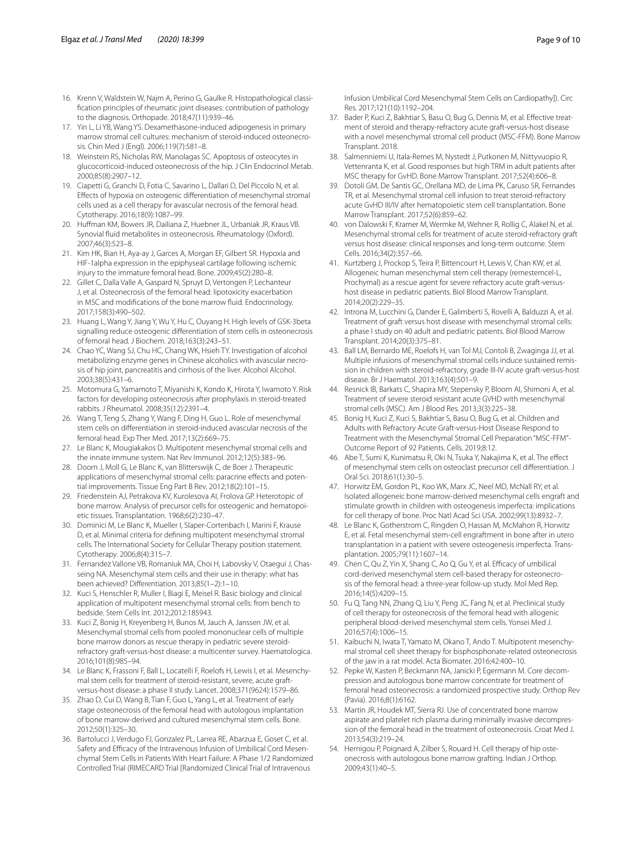- <span id="page-8-0"></span>16. Krenn V, Waldstein W, Najm A, Perino G, Gaulke R. Histopathological classifcation principles of rheumatic joint diseases: contribution of pathology to the diagnosis. Orthopade. 2018;47(11):939–46.
- <span id="page-8-1"></span>17. Yin L, Li YB, Wang YS. Dexamethasone-induced adipogenesis in primary marrow stromal cell cultures: mechanism of steroid-induced osteonecrosis. Chin Med J (Engl). 2006;119(7):581–8.
- <span id="page-8-2"></span>18. Weinstein RS, Nicholas RW, Manolagas SC. Apoptosis of osteocytes in glucocorticoid-induced osteonecrosis of the hip. J Clin Endocrinol Metab. 2000;85(8):2907–12.
- <span id="page-8-3"></span>19. Ciapetti G, Granchi D, Fotia C, Savarino L, Dallari D, Del Piccolo N, et al. Efects of hypoxia on osteogenic diferentiation of mesenchymal stromal cells used as a cell therapy for avascular necrosis of the femoral head. Cytotherapy. 2016;18(9):1087–99.
- <span id="page-8-4"></span>20. Hufman KM, Bowers JR, Dailiana Z, Huebner JL, Urbaniak JR, Kraus VB. Synovial fuid metabolites in osteonecrosis. Rheumatology (Oxford). 2007;46(3):523–8.
- <span id="page-8-5"></span>21. Kim HK, Bian H, Aya-ay J, Garces A, Morgan EF, Gilbert SR. Hypoxia and HIF-1alpha expression in the epiphyseal cartilage following ischemic injury to the immature femoral head. Bone. 2009;45(2):280–8.
- <span id="page-8-6"></span>22. Gillet C, Dalla Valle A, Gaspard N, Spruyt D, Vertongen P, Lechanteur J, et al. Osteonecrosis of the femoral head: lipotoxicity exacerbation in MSC and modifcations of the bone marrow fuid. Endocrinology. 2017;158(3):490–502.
- <span id="page-8-7"></span>23. Huang L, Wang Y, Jiang Y, Wu Y, Hu C, Ouyang H. High levels of GSK-3beta signalling reduce osteogenic diferentiation of stem cells in osteonecrosis of femoral head. J Biochem. 2018;163(3):243–51.
- <span id="page-8-8"></span>24. Chao YC, Wang SJ, Chu HC, Chang WK, Hsieh TY. Investigation of alcohol metabolizing enzyme genes in Chinese alcoholics with avascular necrosis of hip joint, pancreatitis and cirrhosis of the liver. Alcohol Alcohol. 2003;38(5):431–6.
- <span id="page-8-9"></span>25. Motomura G, Yamamoto T, Miyanishi K, Kondo K, Hirota Y, Iwamoto Y. Risk factors for developing osteonecrosis after prophylaxis in steroid-treated rabbits. J Rheumatol. 2008;35(12):2391–4.
- <span id="page-8-10"></span>26. Wang T, Teng S, Zhang Y, Wang F, Ding H, Guo L. Role of mesenchymal stem cells on diferentiation in steroid-induced avascular necrosis of the femoral head. Exp Ther Med. 2017;13(2):669–75.
- <span id="page-8-11"></span>27. Le Blanc K, Mougiakakos D. Multipotent mesenchymal stromal cells and the innate immune system. Nat Rev Immunol. 2012;12(5):383–96.
- <span id="page-8-12"></span>28. Doorn J, Moll G, Le Blanc K, van Blitterswijk C, de Boer J. Therapeutic applications of mesenchymal stromal cells: paracrine effects and potential improvements. Tissue Eng Part B Rev. 2012;18(2):101–15.
- <span id="page-8-13"></span>29. Friedenstein AJ, Petrakova KV, Kurolesova AI, Frolova GP. Heterotopic of bone marrow. Analysis of precursor cells for osteogenic and hematopoietic tissues. Transplantation. 1968;6(2):230–47.
- <span id="page-8-14"></span>30. Dominici M, Le Blanc K, Mueller I, Slaper-Cortenbach I, Marini F, Krause D, et al. Minimal criteria for defning multipotent mesenchymal stromal cells. The International Society for Cellular Therapy position statement. Cytotherapy. 2006;8(4):315–7.
- <span id="page-8-15"></span>31. Fernandez Vallone VB, Romaniuk MA, Choi H, Labovsky V, Otaegui J, Chasseing NA. Mesenchymal stem cells and their use in therapy: what has been achieved? Diferentiation. 2013;85(1–2):1–10.
- <span id="page-8-16"></span>32. Kuci S, Henschler R, Muller I, Biagi E, Meisel R. Basic biology and clinical application of multipotent mesenchymal stromal cells: from bench to bedside. Stem Cells Int. 2012;2012:185943.
- <span id="page-8-17"></span>33. Kuci Z, Bonig H, Kreyenberg H, Bunos M, Jauch A, Janssen JW, et al. Mesenchymal stromal cells from pooled mononuclear cells of multiple bone marrow donors as rescue therapy in pediatric severe steroidrefractory graft-versus-host disease: a multicenter survey. Haematologica. 2016;101(8):985–94.
- <span id="page-8-19"></span>34. Le Blanc K, Frassoni F, Ball L, Locatelli F, Roelofs H, Lewis I, et al. Mesenchymal stem cells for treatment of steroid-resistant, severe, acute graftversus-host disease: a phase II study. Lancet. 2008;371(9624):1579–86.
- <span id="page-8-26"></span>35. Zhao D, Cui D, Wang B, Tian F, Guo L, Yang L, et al. Treatment of early stage osteonecrosis of the femoral head with autologous implantation of bone marrow-derived and cultured mesenchymal stem cells. Bone. 2012;50(1):325–30.
- <span id="page-8-18"></span>36. Bartolucci J, Verdugo FJ, Gonzalez PL, Larrea RE, Abarzua E, Goset C, et al. Safety and Efficacy of the Intravenous Infusion of Umbilical Cord Mesenchymal Stem Cells in Patients With Heart Failure: A Phase 1/2 Randomized Controlled Trial (RIMECARD Trial [Randomized Clinical Trial of Intravenous

Infusion Umbilical Cord Mesenchymal Stem Cells on Cardiopathy]). Circ Res. 2017;121(10):1192–204.

- <span id="page-8-20"></span>37. Bader P, Kuci Z, Bakhtiar S, Basu O, Bug G, Dennis M, et al. Efective treatment of steroid and therapy-refractory acute graft-versus-host disease with a novel mesenchymal stromal cell product (MSC-FFM). Bone Marrow Transplant. 2018.
- 38. Salmenniemi U, Itala-Remes M, Nystedt J, Putkonen M, Niittyvuopio R, Vettenranta K, et al. Good responses but high TRM in adult patients after MSC therapy for GvHD. Bone Marrow Transplant. 2017;52(4):606–8.
- 39. Dotoli GM, De Santis GC, Orellana MD, de Lima PK, Caruso SR, Fernandes TR, et al. Mesenchymal stromal cell infusion to treat steroid-refractory acute GvHD III/IV after hematopoietic stem cell transplantation. Bone Marrow Transplant. 2017;52(6):859–62.
- 40. von Dalowski F, Kramer M, Wermke M, Wehner R, Rollig C, Alakel N, et al. Mesenchymal stromal cells for treatment of acute steroid-refractory graft versus host disease: clinical responses and long-term outcome. Stem Cells. 2016;34(2):357–66.
- 41. Kurtzberg J, Prockop S, Teira P, Bittencourt H, Lewis V, Chan KW, et al. Allogeneic human mesenchymal stem cell therapy (remestemcel-L, Prochymal) as a rescue agent for severe refractory acute graft-versushost disease in pediatric patients. Biol Blood Marrow Transplant. 2014;20(2):229–35.
- 42. Introna M, Lucchini G, Dander E, Galimberti S, Rovelli A, Balduzzi A, et al. Treatment of graft versus host disease with mesenchymal stromal cells: a phase I study on 40 adult and pediatric patients. Biol Blood Marrow Transplant. 2014;20(3):375–81.
- 43. Ball LM, Bernardo ME, Roelofs H, van Tol MJ, Contoli B, Zwaginga JJ, et al. Multiple infusions of mesenchymal stromal cells induce sustained remission in children with steroid-refractory, grade III-IV acute graft-versus-host disease. Br J Haematol. 2013;163(4):501–9.
- <span id="page-8-21"></span>44. Resnick IB, Barkats C, Shapira MY, Stepensky P, Bloom AI, Shimoni A, et al. Treatment of severe steroid resistant acute GVHD with mesenchymal stromal cells (MSC). Am J Blood Res. 2013;3(3):225–38.
- <span id="page-8-22"></span>45. Bonig H, Kuci Z, Kuci S, Bakhtiar S, Basu O, Bug G, et al. Children and Adults with Refractory Acute Graft-versus-Host Disease Respond to Treatment with the Mesenchymal Stromal Cell Preparation "MSC-FFM"- Outcome Report of 92 Patients. Cells. 2019;8:12.
- <span id="page-8-23"></span>46. Abe T, Sumi K, Kunimatsu R, Oki N, Tsuka Y, Nakajima K, et al. The efect of mesenchymal stem cells on osteoclast precursor cell diferentiation. J Oral Sci. 2018;61(1):30–5.
- <span id="page-8-24"></span>47. Horwitz EM, Gordon PL, Koo WK, Marx JC, Neel MD, McNall RY, et al. Isolated allogeneic bone marrow-derived mesenchymal cells engraft and stimulate growth in children with osteogenesis imperfecta: implications for cell therapy of bone. Proc Natl Acad Sci USA. 2002;99(13):8932–7.
- <span id="page-8-25"></span>48. Le Blanc K, Gotherstrom C, Ringden O, Hassan M, McMahon R, Horwitz E, et al. Fetal mesenchymal stem-cell engraftment in bone after in utero transplantation in a patient with severe osteogenesis imperfecta. Transplantation. 2005;79(11):1607–14.
- <span id="page-8-27"></span>49. Chen C, Qu Z, Yin X, Shang C, Ao Q, Gu Y, et al. Efficacy of umbilical cord-derived mesenchymal stem cell-based therapy for osteonecrosis of the femoral head: a three-year follow-up study. Mol Med Rep. 2016;14(5):4209–15.
- <span id="page-8-28"></span>50. Fu Q, Tang NN, Zhang Q, Liu Y, Peng JC, Fang N, et al. Preclinical study of cell therapy for osteonecrosis of the femoral head with allogenic peripheral blood-derived mesenchymal stem cells. Yonsei Med J. 2016;57(4):1006–15.
- <span id="page-8-29"></span>51. Kaibuchi N, Iwata T, Yamato M, Okano T, Ando T. Multipotent mesenchymal stromal cell sheet therapy for bisphosphonate-related osteonecrosis of the jaw in a rat model. Acta Biomater. 2016;42:400–10.
- <span id="page-8-30"></span>52. Pepke W, Kasten P, Beckmann NA, Janicki P, Egermann M. Core decompression and autologous bone marrow concentrate for treatment of femoral head osteonecrosis: a randomized prospective study. Orthop Rev (Pavia). 2016;8(1):6162.
- <span id="page-8-32"></span>53. Martin JR, Houdek MT, Sierra RJ. Use of concentrated bone marrow aspirate and platelet rich plasma during minimally invasive decompression of the femoral head in the treatment of osteonecrosis. Croat Med J. 2013;54(3):219–24.
- <span id="page-8-31"></span>54. Hernigou P, Poignard A, Zilber S, Rouard H. Cell therapy of hip osteonecrosis with autologous bone marrow grafting. Indian J Orthop. 2009;43(1):40–5.